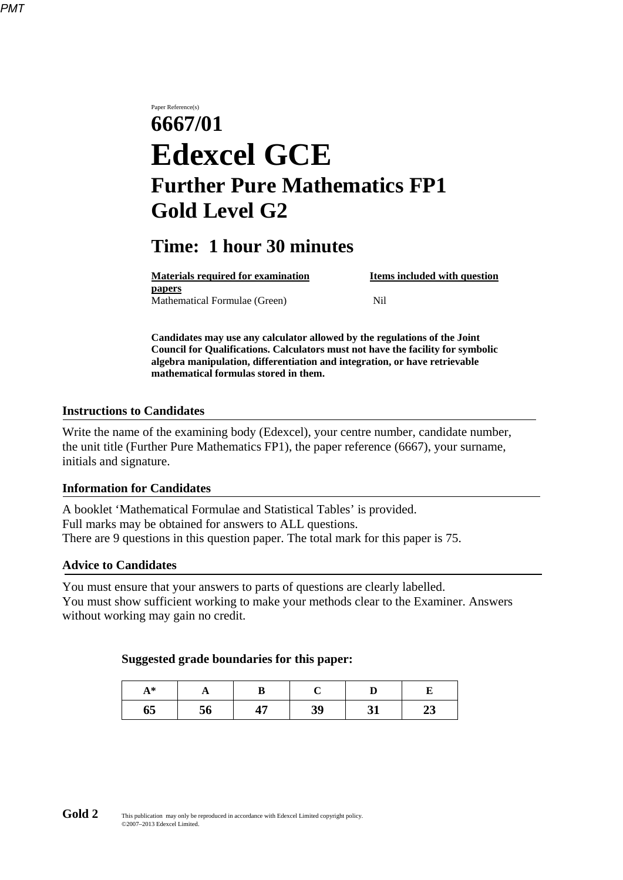# Paper Reference(s) **6667/01 Edexcel GCE Further Pure Mathematics FP1 Gold Level G2**

## **Time: 1 hour 30 minutes**

| <b>Materials required for examination</b> | Items included with question |
|-------------------------------------------|------------------------------|
| papers                                    |                              |
| Mathematical Formulae (Green)             | Nil                          |

**Candidates may use any calculator allowed by the regulations of the Joint Council for Qualifications. Calculators must not have the facility for symbolic algebra manipulation, differentiation and integration, or have retrievable mathematical formulas stored in them.**

#### **Instructions to Candidates**

Write the name of the examining body (Edexcel), your centre number, candidate number, the unit title (Further Pure Mathematics FP1), the paper reference (6667), your surname, initials and signature.

#### **Information for Candidates**

A booklet 'Mathematical Formulae and Statistical Tables' is provided. Full marks may be obtained for answers to ALL questions. There are 9 questions in this question paper. The total mark for this paper is 75.

#### **Advice to Candidates**

You must ensure that your answers to parts of questions are clearly labelled. You must show sufficient working to make your methods clear to the Examiner. Answers without working may gain no credit.

#### **Suggested grade boundaries for this paper:**

| $A^*$ | д  |   |    |    |    |
|-------|----|---|----|----|----|
| 65    | 56 | . | 39 | 31 | ⊣୰ |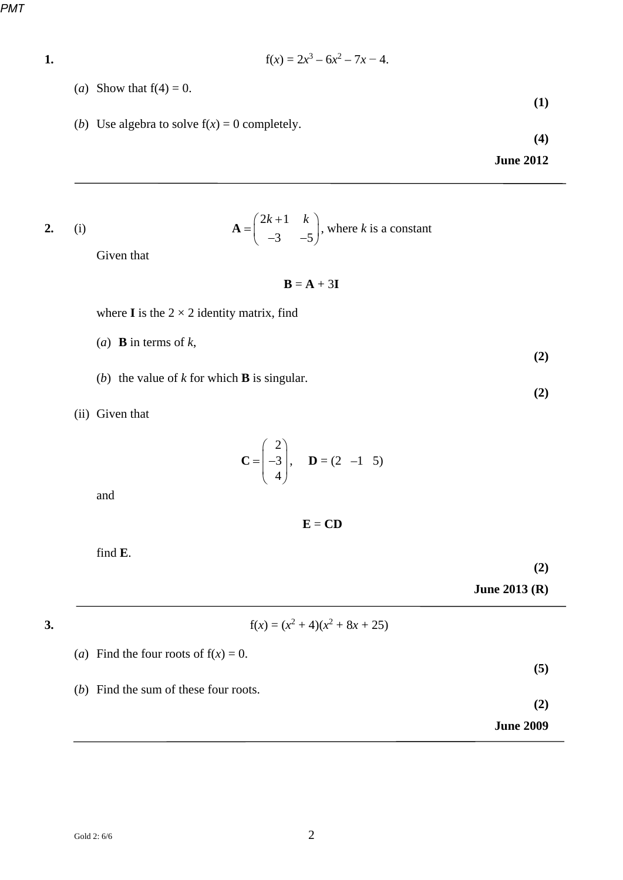*PMT*

1. 
$$
f(x) = 2x^3 - 6x^2 - 7x - 4.
$$

- (*a*) Show that  $f(4) = 0$ .
- (*b*) Use algebra to solve  $f(x) = 0$  completely.

**(4)** 

**(1)** 

**June 2012** 

2. (i) 
$$
\mathbf{A} = \begin{pmatrix} 2k+1 & k \\ -3 & -5 \end{pmatrix}, \text{ where } k \text{ is a constant}
$$

Given that

 $B = A + 3I$ 

where **I** is the  $2 \times 2$  identity matrix, find

(*a*) **B** in terms of *k*,

- (*b*) the value of *k* for which **B** is singular.
- (ii) Given that

$$
\mathbf{C} = \begin{pmatrix} 2 \\ -3 \\ 4 \end{pmatrix}, \quad \mathbf{D} = (2 \quad -1 \quad 5)
$$

and

**E** = **CD**

find **E**.

**(2)**

**June 2013 (R)**

## **3.**  $f(x) = (x^2 + 4)(x^2 + 8x + 25)$

(*a*) Find the four roots of  $f(x) = 0$ .

|  |  |  |  |  |  |  | $(b)$ Find the sum of these four roots. |
|--|--|--|--|--|--|--|-----------------------------------------|
|--|--|--|--|--|--|--|-----------------------------------------|

**(2)**

**(5)** 

**June 2009** 

**(2)**

**(2)**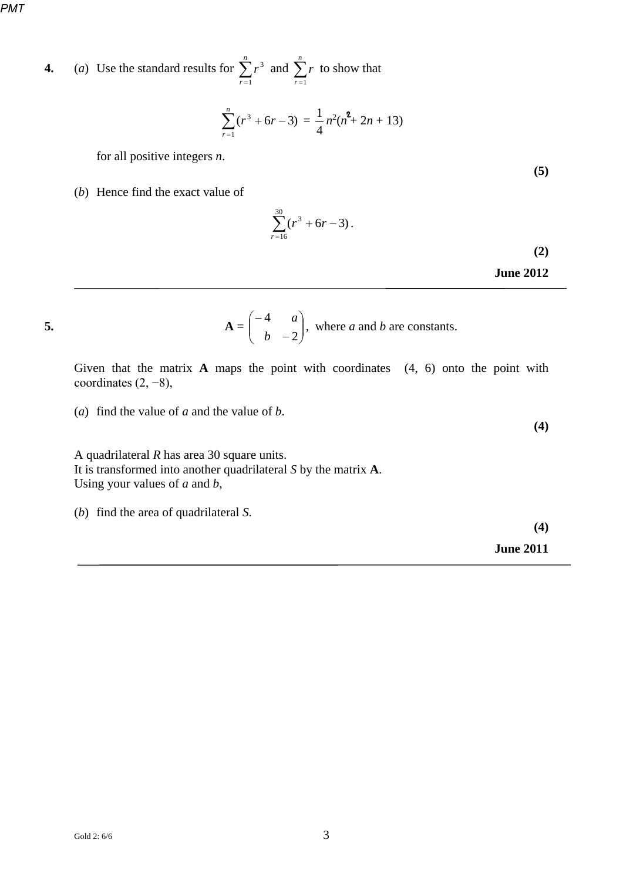**4.** (*a*) Use the standard results for 
$$
\sum_{r=1}^{n} r^3
$$
 and  $\sum_{r=1}^{n} r$  to show that

$$
\sum_{r=1}^{n} (r^3 + 6r - 3) = \frac{1}{4} n^2 (n^2 + 2n + 13)
$$

for all positive integers *n*.

(*b*) Hence find the exact value of

$$
\sum_{r=16}^{30} (r^3 + 6r - 3).
$$
 (2)

**June 2012** 

**(5)** 

5. 
$$
\mathbf{A} = \begin{pmatrix} -4 & a \\ b & -2 \end{pmatrix}, \text{ where } a \text{ and } b \text{ are constants.}
$$

Given that the matrix **A** maps the point with coordinates (4, 6) onto the point with coordinates (2, −8),

(*a*) find the value of *a* and the value of *b*.

A quadrilateral *R* has area 30 square units. It is transformed into another quadrilateral *S* by the matrix **A**. Using your values of *a* and *b*,

(*b*) find the area of quadrilateral *S*.

**(4)** 

**June 2011** 

$$
f_{\rm{max}}
$$

**(4)**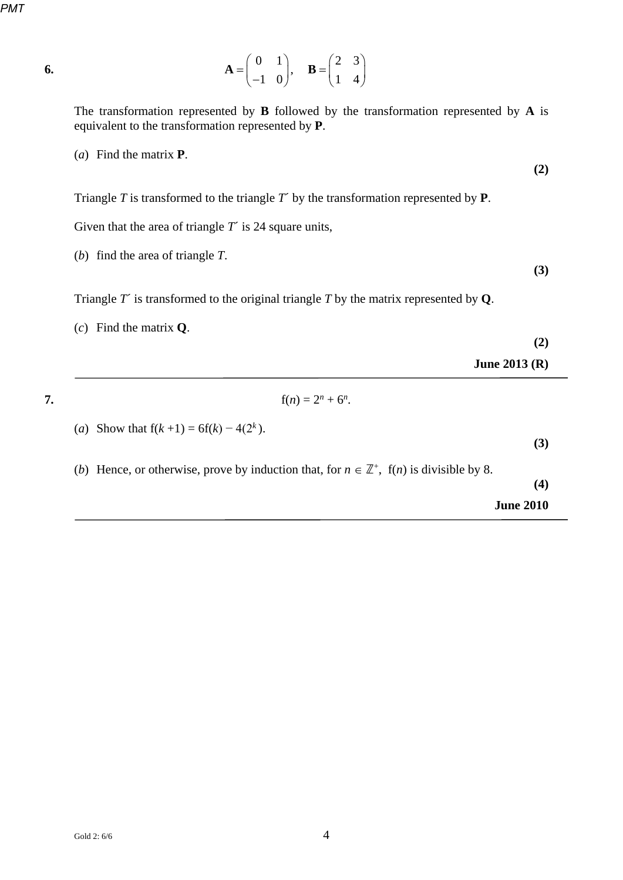**6.** 

$$
\mathbf{A} = \begin{pmatrix} 0 & 1 \\ -1 & 0 \end{pmatrix}, \quad \mathbf{B} = \begin{pmatrix} 2 & 3 \\ 1 & 4 \end{pmatrix}
$$

The transformation represented by **B** followed by the transformation represented by **A** is equivalent to the transformation represented by **P**.

(*a*) Find the matrix **P**.

Triangle *T* is transformed to the triangle *T*´ by the transformation represented by **P**.

Given that the area of triangle *T*<sup> $\prime$ </sup> is 24 square units,

(*b*) find the area of triangle *T*.

Triangle *T*´ is transformed to the original triangle *T* by the matrix represented by **Q**.

(*c*) Find the matrix **Q**.

- **(2)**
- **June 2013 (R)**

**7.**  $f(n) = 2^n + 6^n$ .

- (*a*) Show that  $f(k+1) = 6f(k) 4(2^k)$ .
- (*b*) Hence, or otherwise, prove by induction that, for  $n \in \mathbb{Z}^+$ , f(*n*) is divisible by 8.

**(4)** 

**(3)** 

**June 2010** 

**(2)** 

**(3)**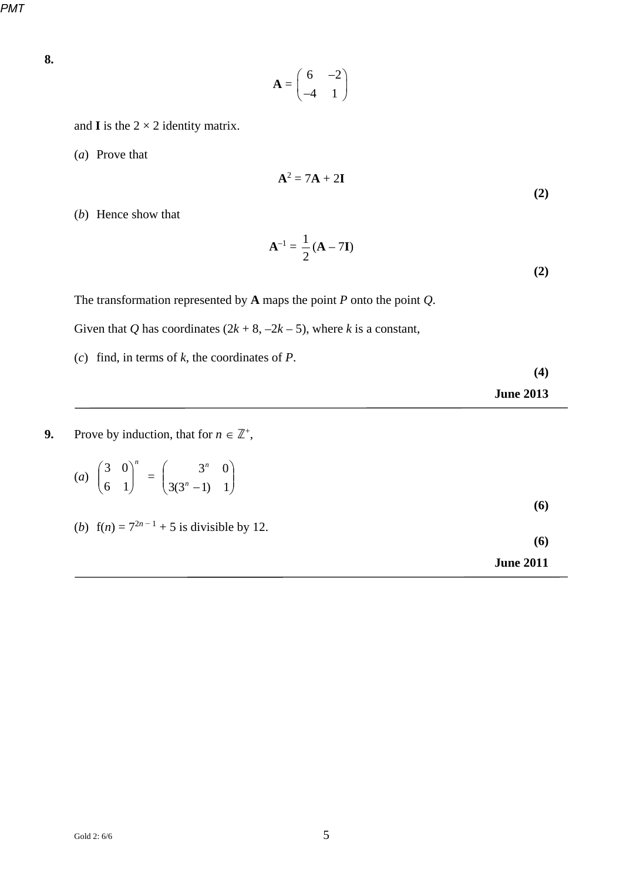**8.** 

$$
\mathbf{A} = \begin{pmatrix} 6 & -2 \\ -4 & 1 \end{pmatrix}
$$

and **I** is the  $2 \times 2$  identity matrix.

(*a*) Prove that

$$
A^2 = 7A + 2I \tag{2}
$$

(*b*) Hence show that

$$
\mathbf{A}^{-1} = \frac{1}{2} \left( \mathbf{A} - 7\mathbf{I} \right)
$$
 (2)

The transformation represented by **A** maps the point *P* onto the point *Q*.

Given that *Q* has coordinates  $(2k + 8, -2k - 5)$ , where *k* is a constant,

(*c*) find, in terms of *k*, the coordinates of *P*.

**9.** Prove by induction, that for  $n \in \mathbb{Z}^+$ ,

|  |  | $3^n \quad 0$                                                                                                  |  |
|--|--|----------------------------------------------------------------------------------------------------------------|--|
|  |  | (a) $\begin{pmatrix} 3 & 0 \\ 6 & 1 \end{pmatrix}^n = \begin{pmatrix} 3^n & 0 \\ 3(3^n - 1) & 1 \end{pmatrix}$ |  |

(*b*)  $f(n) = 7^{2n-1} + 5$  is divisible by 12.

**June 2013**

**(4)** 

**(6)** 

**(6)** 

| <b>June 2011</b> |  |
|------------------|--|
|------------------|--|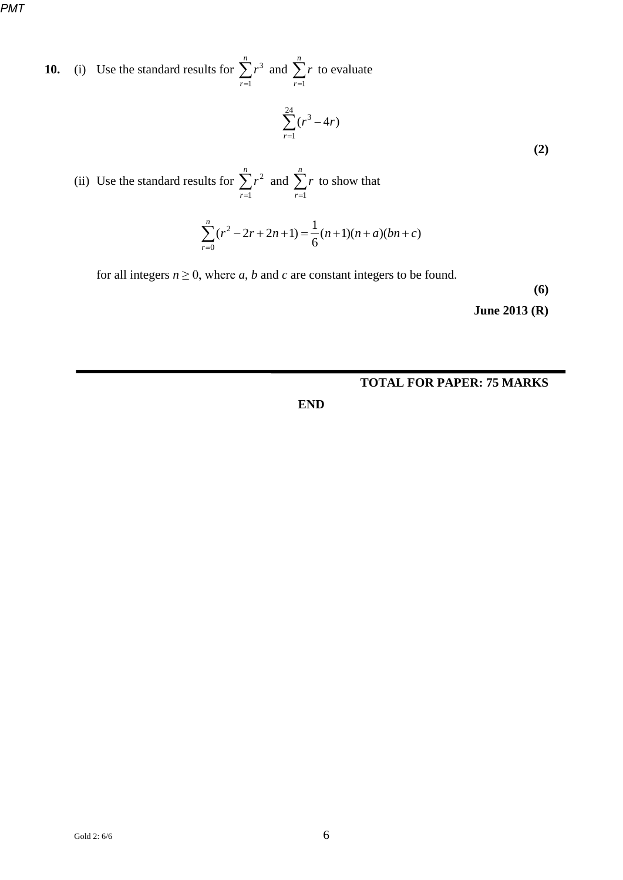**10.** (i) Use the standard results for 
$$
\sum_{r=1}^{n} r^3
$$
 and  $\sum_{r=1}^{n} r$  to evaluate  $\sum_{r=1}^{24} (r^3 - 4r)$ 

(ii) Use the standard results for 
$$
\sum_{r=1}^{n} r^2
$$
 and  $\sum_{r=1}^{n} r$  to show that

$$
\sum_{r=0}^{n} (r^2 - 2r + 2n + 1) = \frac{1}{6} (n+1)(n+a)(bn+c)
$$

for all integers  $n \geq 0$ , where *a*, *b* and *c* are constant integers to be found.

**(6)** 

**(2)** 

**June 2013 (R)**

### **TOTAL FOR PAPER: 75 MARKS**

**END**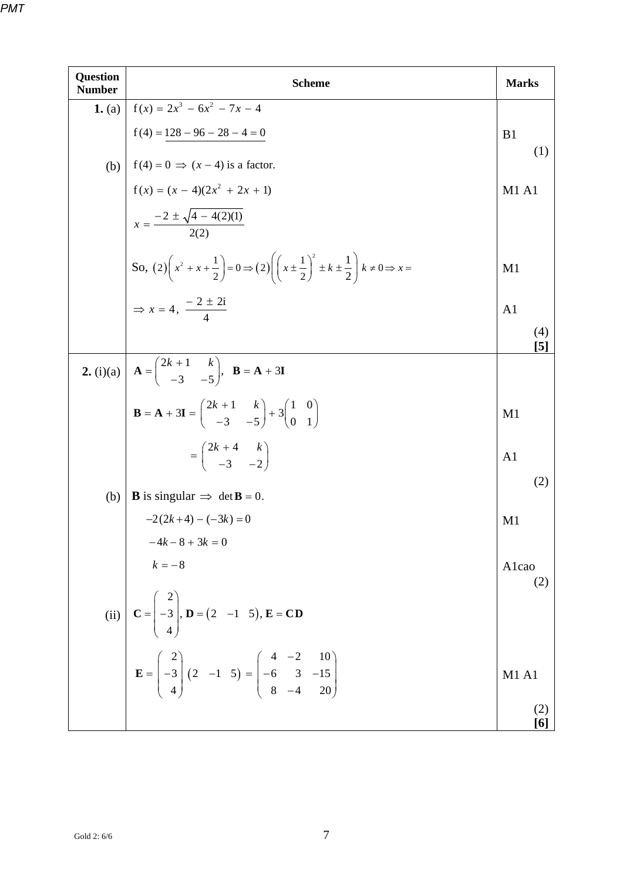| <b>Question</b><br><b>Number</b> | <b>Scheme</b>                                                                                                                                                                | <b>Marks</b>   |
|----------------------------------|------------------------------------------------------------------------------------------------------------------------------------------------------------------------------|----------------|
| 1. (a)                           | $f(x) = 2x^3 - 6x^2 - 7x - 4$                                                                                                                                                |                |
|                                  |                                                                                                                                                                              | B <sub>1</sub> |
|                                  |                                                                                                                                                                              | (1)            |
|                                  |                                                                                                                                                                              | <b>M1 A1</b>   |
|                                  | (b) $f(4) = 128 - 96 - 28 - 4 = 0$<br>$f(4) = 0 \Rightarrow (x - 4) \text{ is a factor.}$<br>$f(x) = (x - 4)(2x^2 + 2x + 1)$<br>$x = \frac{-2 \pm \sqrt{4 - 4(2)(1)}}{2(2)}$ |                |
|                                  | So, $(2)\left(x^2 + x + \frac{1}{2}\right) = 0 \Rightarrow (2)\left(\left(x \pm \frac{1}{2}\right)^2 \pm k \pm \frac{1}{2}\right)k \neq 0 \Rightarrow x =$                   | M <sub>1</sub> |
|                                  | $\Rightarrow$ x = 4, $\frac{-2 \pm 2i}{4}$                                                                                                                                   | A <sub>1</sub> |
|                                  |                                                                                                                                                                              | (4)<br>[5]     |
|                                  | <b>2.</b> (i)(a) $\begin{bmatrix} A = \begin{pmatrix} 2k+1 & k \\ -3 & -5 \end{pmatrix}$ , $B = A + 3I$                                                                      |                |
|                                  | <b>B</b> = <b>A</b> + 3 <b>I</b> = $\begin{pmatrix} 2k+1 & k \\ -3 & -5 \end{pmatrix}$ + 3 $\begin{pmatrix} 1 & 0 \\ 0 & 1 \end{pmatrix}$                                    | M <sub>1</sub> |
|                                  | $=\begin{pmatrix} 2k+4 & k \\ -3 & -2 \end{pmatrix}$                                                                                                                         | A <sub>1</sub> |
| (b)                              | <b>B</b> is singular $\Rightarrow$ det <b>B</b> = 0.                                                                                                                         | (2)            |
|                                  | $-2(2k+4)-(-3k)=0$                                                                                                                                                           | M <sub>1</sub> |
|                                  | $-4k-8+3k=0$                                                                                                                                                                 |                |
|                                  | $k=-8$                                                                                                                                                                       | Alcao<br>(2)   |
|                                  | (ii) $C = \begin{pmatrix} 2 \\ -3 \\ 4 \end{pmatrix}$ , $D = (2 \ -1 \ 5)$ , $E = CD$                                                                                        |                |
|                                  | $\mathbf{E} = \begin{pmatrix} 2 \\ -3 \\ 4 \end{pmatrix} (2 \ -1 \ 5) = \begin{pmatrix} 4 & -2 & 10 \\ -6 & 3 & -15 \\ 8 & -4 & 20 \end{pmatrix}$                            | M1 A1          |
|                                  |                                                                                                                                                                              | (2)<br>[6]     |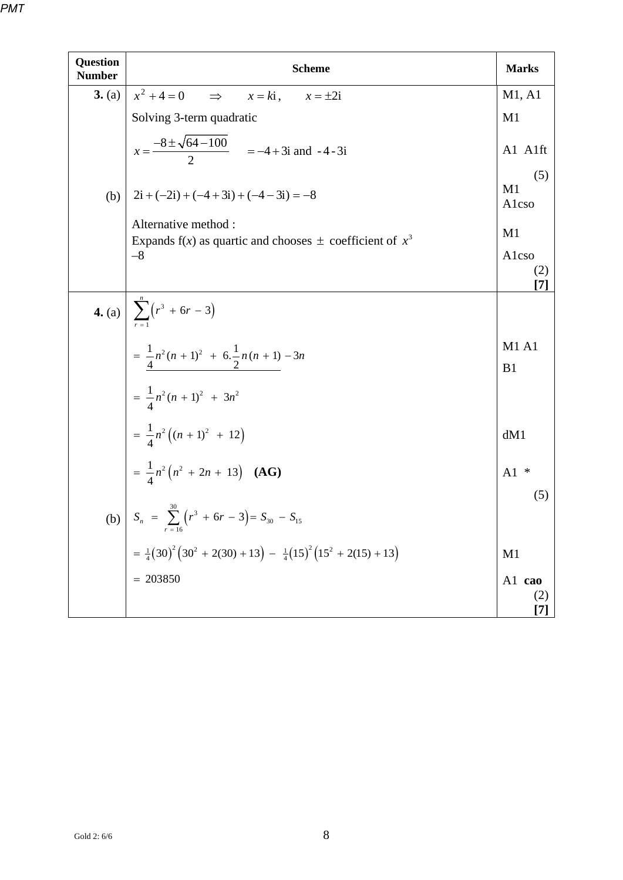| <b>Question</b><br><b>Number</b> | <b>Scheme</b>                                                                                                                                                                                                          | <b>Marks</b>       |
|----------------------------------|------------------------------------------------------------------------------------------------------------------------------------------------------------------------------------------------------------------------|--------------------|
| 3. (a)                           | $x^2 + 4 = 0$<br>$\Rightarrow$<br>$x = ki$ ,<br>$x = \pm 2i$                                                                                                                                                           | M1, A1             |
|                                  | Solving 3-term quadratic                                                                                                                                                                                               | M1                 |
|                                  | $x = \frac{-8 \pm \sqrt{64 - 100}}{2}$ = -4 + 3i and -4 - 3i                                                                                                                                                           | A1 A1ft            |
| (b)                              | $2i + (-2i) + (-4 + 3i) + (-4 - 3i) = -8$                                                                                                                                                                              | (5)<br>M1<br>Alcso |
|                                  | Alternative method:                                                                                                                                                                                                    | M <sub>1</sub>     |
|                                  | Expands $f(x)$ as quartic and chooses $\pm$ coefficient of $x^3$<br>$-8$                                                                                                                                               | Alcso<br>(2)       |
|                                  |                                                                                                                                                                                                                        | [7]                |
|                                  |                                                                                                                                                                                                                        |                    |
|                                  | 4. (a) $\sum_{r=1}^{n} (r^3 + 6r - 3)$<br>= $\frac{1}{4}n^2(n+1)^2 + 6 \cdot \frac{1}{2}n(n+1) - 3n$<br>= $\frac{1}{4}n^2(n+1)^2 + 3n^2$<br>= $\frac{1}{4}n^2((n+1)^2 + 12)$<br>= $\frac{1}{4}n^2(n^2 + 2n + 13)$ (AG) | <b>M1 A1</b><br>B1 |
|                                  |                                                                                                                                                                                                                        |                    |
|                                  |                                                                                                                                                                                                                        | dM1                |
|                                  |                                                                                                                                                                                                                        | ∗<br>A1<br>(5)     |
|                                  | (b) $S_n = \sum_{r=16}^{30} (r^3 + 6r - 3) = S_{30} - S_{15}$                                                                                                                                                          |                    |
|                                  | = $\frac{1}{4}$ (30) <sup>2</sup> (30 <sup>2</sup> + 2(30) + 13) - $\frac{1}{4}$ (15) <sup>2</sup> (15 <sup>2</sup> + 2(15) + 13)                                                                                      | M1                 |
|                                  | $= 203850$                                                                                                                                                                                                             | A1 cao<br>(2)      |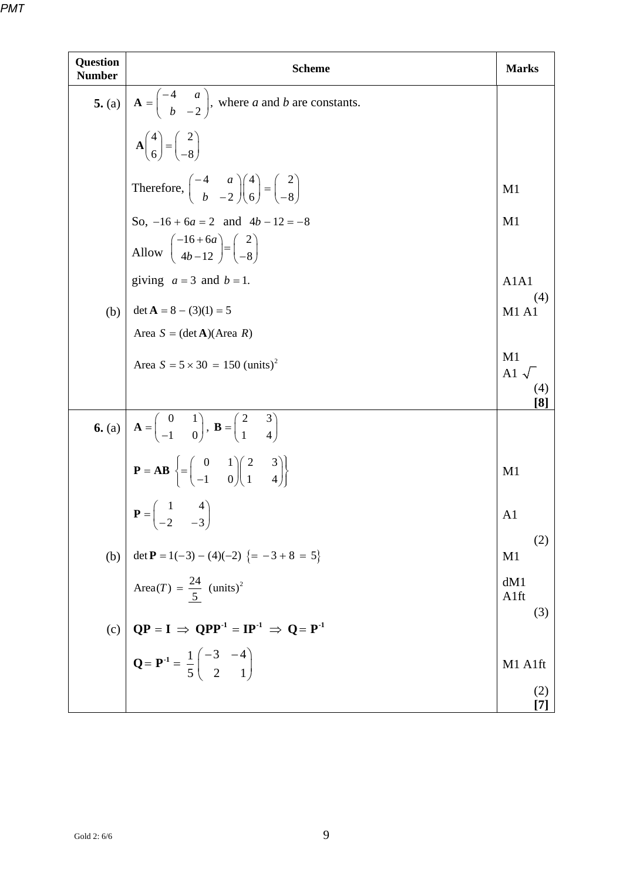| <b>Question</b><br><b>Number</b> | <b>Scheme</b>                                                                                                                                                                                                                                                                                                                                  | <b>Marks</b>               |
|----------------------------------|------------------------------------------------------------------------------------------------------------------------------------------------------------------------------------------------------------------------------------------------------------------------------------------------------------------------------------------------|----------------------------|
|                                  |                                                                                                                                                                                                                                                                                                                                                |                            |
|                                  | 5. (a) $\mathbf{A} = \begin{pmatrix} -4 & a \\ b & -2 \end{pmatrix}$ , where <i>a</i> and <i>b</i> are constants.<br>$\mathbf{A} \begin{pmatrix} 4 \\ 6 \end{pmatrix} = \begin{pmatrix} 2 \\ -8 \end{pmatrix}$                                                                                                                                 |                            |
|                                  | Therefore, $\begin{pmatrix} -4 & a \\ b & -2 \end{pmatrix} \begin{pmatrix} 4 \\ 6 \end{pmatrix} = \begin{pmatrix} 2 \\ -8 \end{pmatrix}$                                                                                                                                                                                                       | M1                         |
|                                  | So, $-16 + 6a = 2$ and $4b - 12 = -8$                                                                                                                                                                                                                                                                                                          | M <sub>1</sub>             |
|                                  | Allow $\begin{pmatrix} -16+6a \\ 4b-12 \end{pmatrix} = \begin{pmatrix} 2 \\ -8 \end{pmatrix}$                                                                                                                                                                                                                                                  |                            |
|                                  | giving $a = 3$ and $b = 1$ .                                                                                                                                                                                                                                                                                                                   | A1A1<br>(4)                |
| (b)                              | det $A = 8 - (3)(1) = 5$                                                                                                                                                                                                                                                                                                                       | <b>M1 A1</b>               |
|                                  | Area $S = (\det A)(Area R)$                                                                                                                                                                                                                                                                                                                    |                            |
|                                  | Area $S = 5 \times 30 = 150$ (units) <sup>2</sup>                                                                                                                                                                                                                                                                                              | M1<br>A1 $\sqrt{ }$<br>(4) |
|                                  |                                                                                                                                                                                                                                                                                                                                                | [8]                        |
|                                  |                                                                                                                                                                                                                                                                                                                                                |                            |
|                                  | 6. (a) $\mathbf{A} = \begin{pmatrix} 0 & 1 \\ -1 & 0 \end{pmatrix}$ , $\mathbf{B} = \begin{pmatrix} 2 & 3 \\ 1 & 4 \end{pmatrix}$<br>$\mathbf{P} = \mathbf{AB} \left\{ = \begin{pmatrix} 0 & 1 \\ -1 & 0 \end{pmatrix} \begin{pmatrix} 2 & 3 \\ 1 & 4 \end{pmatrix} \right\}$<br>$\mathbf{P} = \begin{pmatrix} 1 & 4 \\ -2 & -3 \end{pmatrix}$ | M1                         |
|                                  |                                                                                                                                                                                                                                                                                                                                                | A1                         |
| (b)                              | det <b>P</b> = 1(-3) - (4)(-2) {= -3 + 8 = 5}                                                                                                                                                                                                                                                                                                  | (2)<br>M <sub>1</sub>      |
|                                  | Area(T) = $\frac{24}{5}$ (units) <sup>2</sup>                                                                                                                                                                                                                                                                                                  | dM1<br>A1ft                |
| (c)                              |                                                                                                                                                                                                                                                                                                                                                | (3)                        |
|                                  | $QP = I \Rightarrow QPP^{-1} = IP^{-1} \Rightarrow Q = P^{-1}$<br>$Q = P^{-1} = \frac{1}{5} \begin{pmatrix} -3 & -4 \\ 2 & 1 \end{pmatrix}$                                                                                                                                                                                                    | M1 A1ft                    |
|                                  |                                                                                                                                                                                                                                                                                                                                                | (2)<br>[7]                 |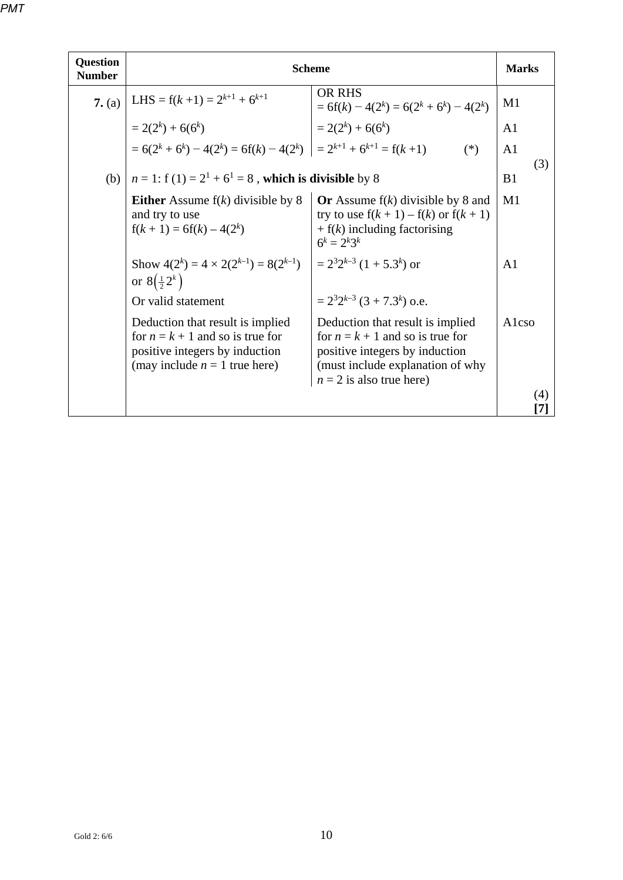| <b>Question</b><br><b>Number</b> | <b>Scheme</b>                                                                                                                               |                                                                                                                                                                            |                       |
|----------------------------------|---------------------------------------------------------------------------------------------------------------------------------------------|----------------------------------------------------------------------------------------------------------------------------------------------------------------------------|-----------------------|
| 7. (a)                           | LHS = $f(k+1) = 2^{k+1} + 6^{k+1}$                                                                                                          | <b>OR RHS</b><br>$= 6f(k) - 4(2^k) = 6(2^k + 6^k) - 4(2^k)$                                                                                                                | M1                    |
|                                  | $= 2(2k) + 6(6k)$                                                                                                                           | $= 2(2k) + 6(6k)$                                                                                                                                                          | A1                    |
|                                  | $= 6(2^{k} + 6^{k}) - 4(2^{k}) = 6f(k) - 4(2^{k}) = 2^{k+1} + 6^{k+1} = f(k+1)$                                                             | $(*)$                                                                                                                                                                      | A <sub>1</sub>        |
| (b)                              | $n = 1$ : f (1) = $2^1 + 6^1 = 8$ , which is divisible by 8                                                                                 |                                                                                                                                                                            | (3)<br>B <sub>1</sub> |
|                                  | <b>Either</b> Assume $f(k)$ divisible by 8<br>and try to use<br>$f(k + 1) = 6f(k) - 4(2k)$                                                  | Or Assume $f(k)$ divisible by 8 and<br>try to use $f(k + 1) - f(k)$ or $f(k + 1)$<br>$+ f(k)$ including factorising<br>$6^k = 2^k 3^k$                                     | M <sub>1</sub>        |
|                                  | Show $4(2^k) = 4 \times 2(2^{k-1}) = 8(2^{k-1})$<br>or $8(\frac{1}{2}2^k)$                                                                  | $= 2^{3}2^{k-3}$ (1 + 5.3 <sup>k</sup> ) or                                                                                                                                | A1                    |
|                                  | Or valid statement                                                                                                                          | $= 2^{3}2^{k-3}$ (3 + 7.3 <sup>k</sup> ) o.e.                                                                                                                              |                       |
|                                  | Deduction that result is implied<br>for $n = k + 1$ and so is true for<br>positive integers by induction<br>(may include $n = 1$ true here) | Deduction that result is implied<br>for $n = k + 1$ and so is true for<br>positive integers by induction<br>(must include explanation of why<br>$n = 2$ is also true here) | Alcso                 |
|                                  |                                                                                                                                             |                                                                                                                                                                            | (4)<br>17.            |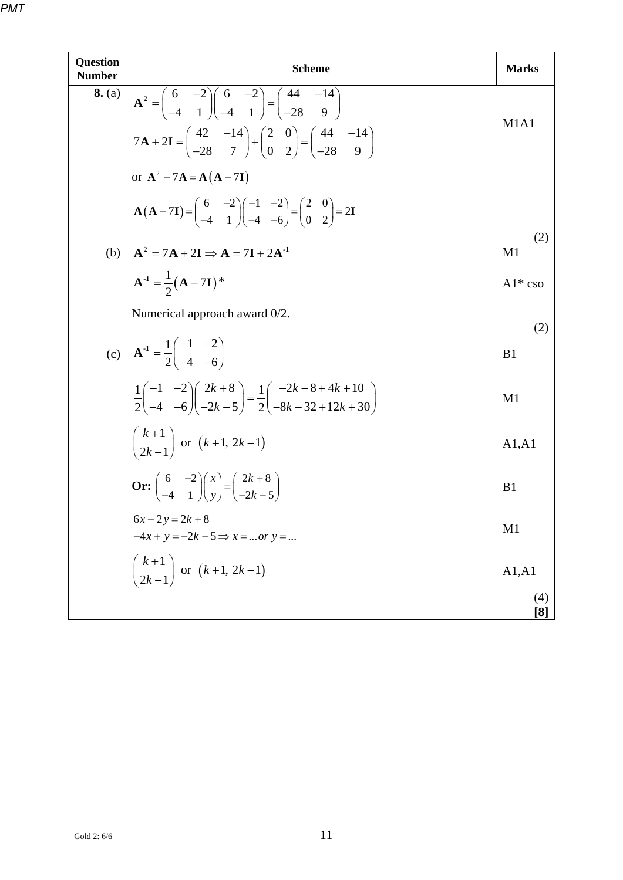| Question<br><b>Number</b> | <b>Scheme</b>                                                                                                                                                                                       | <b>Marks</b>          |
|---------------------------|-----------------------------------------------------------------------------------------------------------------------------------------------------------------------------------------------------|-----------------------|
| 8. (a)                    | $A^{2} = \begin{pmatrix} 6 & -2 \\ -4 & 1 \end{pmatrix} \begin{pmatrix} 6 & -2 \\ -4 & 1 \end{pmatrix} = \begin{pmatrix} 44 & -14 \\ -28 & 9 \end{pmatrix}$                                         |                       |
|                           | $7\mathbf{A} + 2\mathbf{I} = \begin{pmatrix} 42 & -14 \\ -28 & 7 \end{pmatrix} + \begin{pmatrix} 2 & 0 \\ 0 & 2 \end{pmatrix} = \begin{pmatrix} 44 & -14 \\ -28 & 9 \end{pmatrix}$                  | M1A1                  |
|                           | or $A^2 - 7A = A(A - 7I)$                                                                                                                                                                           |                       |
|                           | $\mathbf{A}(\mathbf{A}-7\mathbf{I}) = \begin{pmatrix} 6 & -2 \\ -4 & 1 \end{pmatrix} \begin{pmatrix} -1 & -2 \\ -4 & -6 \end{pmatrix} = \begin{pmatrix} 2 & 0 \\ 0 & 2 \end{pmatrix} = 2\mathbf{I}$ |                       |
|                           | (b) $\mathbf{A}^2 = 7\mathbf{A} + 2\mathbf{I} \Rightarrow \mathbf{A} = 7\mathbf{I} + 2\mathbf{A}^{-1}$                                                                                              | (2)<br>M1             |
|                           | $A^{-1} = \frac{1}{2}(A - 7I)^{*}$                                                                                                                                                                  | $Al*$ cso             |
|                           | Numerical approach award 0/2.                                                                                                                                                                       |                       |
|                           | (c) $\mathbf{A}^{-1} = \frac{1}{2} \begin{pmatrix} -1 & -2 \\ -4 & -6 \end{pmatrix}$                                                                                                                | (2)<br>B <sub>1</sub> |
|                           | $\frac{1}{2} \begin{pmatrix} -1 & -2 \\ -4 & -6 \end{pmatrix} \begin{pmatrix} 2k+8 \\ -2k-5 \end{pmatrix} = \frac{1}{2} \begin{pmatrix} -2k-8+4k+10 \\ -8k-32+12k+30 \end{pmatrix}$                 | M1                    |
|                           | $\binom{k+1}{2k-1}$ or $(k+1, 2k-1)$                                                                                                                                                                | A1, A1                |
|                           | <b>Or:</b> $\begin{pmatrix} 6 & -2 \\ -4 & 1 \end{pmatrix} \begin{pmatrix} x \\ y \end{pmatrix} = \begin{pmatrix} 2k+8 \\ -2k-5 \end{pmatrix}$                                                      | B1                    |
|                           | $6x - 2y = 2k + 8$                                                                                                                                                                                  | M1                    |
|                           | $-4x + y = -2k - 5 \Rightarrow x =  or y = $                                                                                                                                                        |                       |
|                           | $\binom{k+1}{2k-1}$ or $(k+1, 2k-1)$                                                                                                                                                                | A1, A1                |
|                           |                                                                                                                                                                                                     | (4)<br>[8]            |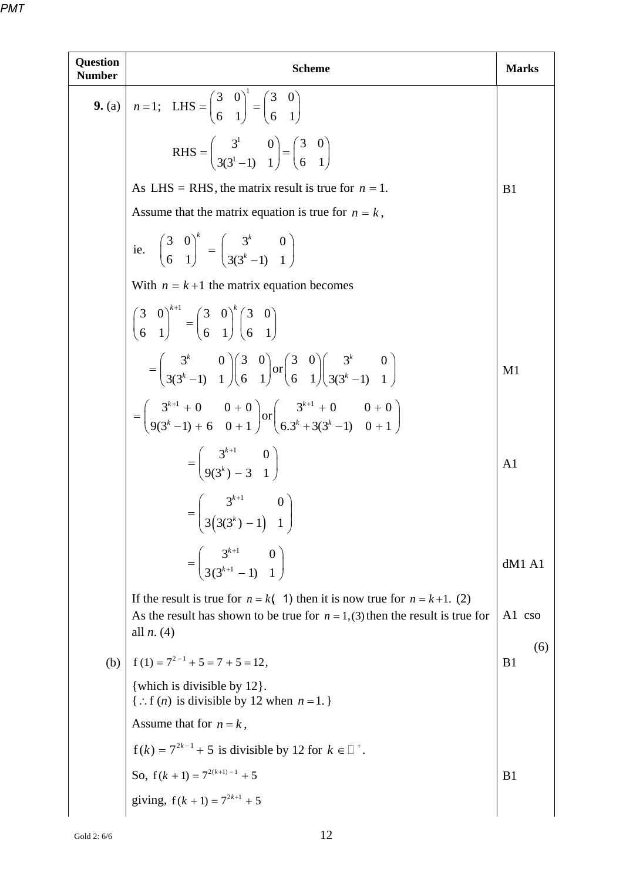| <b>Question</b><br><b>Number</b> | <b>Scheme</b>                                                                                                                                                                                                      |                       |  |  |  |  |  |  |
|----------------------------------|--------------------------------------------------------------------------------------------------------------------------------------------------------------------------------------------------------------------|-----------------------|--|--|--|--|--|--|
|                                  | <b>9.</b> (a) $n = 1$ ; LHS = $\begin{pmatrix} 3 & 0 \\ 6 & 1 \end{pmatrix}^1 = \begin{pmatrix} 3 & 0 \\ 6 & 1 \end{pmatrix}^1$                                                                                    |                       |  |  |  |  |  |  |
|                                  | RHS = $\begin{pmatrix} 3^1 & 0 \\ 3(3^1-1) & 1 \end{pmatrix} = \begin{pmatrix} 3 & 0 \\ 6 & 1 \end{pmatrix}$                                                                                                       |                       |  |  |  |  |  |  |
|                                  | As LHS = RHS, the matrix result is true for $n = 1$ .<br>Assume that the matrix equation is true for $n = k$ ,                                                                                                     |                       |  |  |  |  |  |  |
|                                  |                                                                                                                                                                                                                    |                       |  |  |  |  |  |  |
|                                  | ie. $\begin{pmatrix} 3 & 0 \\ 6 & 1 \end{pmatrix}^n = \begin{pmatrix} 3^k & 0 \\ 3(3^k-1) & 1 \end{pmatrix}$                                                                                                       |                       |  |  |  |  |  |  |
|                                  | With $n = k+1$ the matrix equation becomes                                                                                                                                                                         |                       |  |  |  |  |  |  |
|                                  | $\begin{pmatrix} 3 & 0 \\ 6 & 1 \end{pmatrix}^{n} = \begin{pmatrix} 3 & 0 \\ 6 & 1 \end{pmatrix}^{n} \begin{pmatrix} 3 & 0 \\ 6 & 1 \end{pmatrix}$                                                                 |                       |  |  |  |  |  |  |
|                                  | $=\begin{pmatrix} 3^k & 0 \\ 3(3^k-1) & 1 \end{pmatrix} \begin{pmatrix} 3 & 0 \\ 6 & 1 \end{pmatrix} \text{or} \begin{pmatrix} 3 & 0 \\ 6 & 1 \end{pmatrix} \begin{pmatrix} 3^k & 0 \\ 3(3^k-1) & 1 \end{pmatrix}$ | M <sub>1</sub>        |  |  |  |  |  |  |
|                                  | $=\left(\begin{array}{cc}3^{k+1}+0 & 0+0\\9(3^k-1)+6 & 0+1\end{array}\right) or \left(\begin{array}{cc}3^{k+1}+0 & 0+0\\6\cdot 3^k+3(3^k-1) & 0+1\end{array}\right)$                                               |                       |  |  |  |  |  |  |
|                                  | $=\left(\begin{array}{cc}3^{k+1} & 0\\0(3^k) & 3 & 1\end{array}\right)$                                                                                                                                            | A <sub>1</sub>        |  |  |  |  |  |  |
|                                  | $= \begin{pmatrix} 3^{k+1} & 0 \\ 3(3(3^k) - 1) & 1 \end{pmatrix}$                                                                                                                                                 |                       |  |  |  |  |  |  |
|                                  | $=\left(\begin{array}{cc}3^{k+1} & 0\\3(3^{k+1}-1) & 1\end{array}\right)$                                                                                                                                          | dM1 A1                |  |  |  |  |  |  |
|                                  | If the result is true for $n = k(1)$ then it is now true for $n = k+1$ . (2)<br>As the result has shown to be true for $n = 1$ , (3) then the result is true for<br>all $n. (4)$                                   | A1 cso                |  |  |  |  |  |  |
| (b)                              | $f(1) = 7^{2-1} + 5 = 7 + 5 = 12$ ,                                                                                                                                                                                | (6)<br>B <sub>1</sub> |  |  |  |  |  |  |
|                                  | {which is divisible by 12}.<br>{ : f ( <i>n</i> ) is divisible by 12 when $n = 1$ .}                                                                                                                               |                       |  |  |  |  |  |  |
|                                  | Assume that for $n = k$ ,                                                                                                                                                                                          |                       |  |  |  |  |  |  |
|                                  | $f(k) = 7^{2k-1} + 5$ is divisible by 12 for $k \in \mathbb{Z}^+$ .                                                                                                                                                |                       |  |  |  |  |  |  |
|                                  | So, $f(k + 1) = 7^{2(k+1)-1} + 5$                                                                                                                                                                                  | B <sub>1</sub>        |  |  |  |  |  |  |
|                                  | giving, $f(k + 1) = 7^{2k+1} + 5$                                                                                                                                                                                  |                       |  |  |  |  |  |  |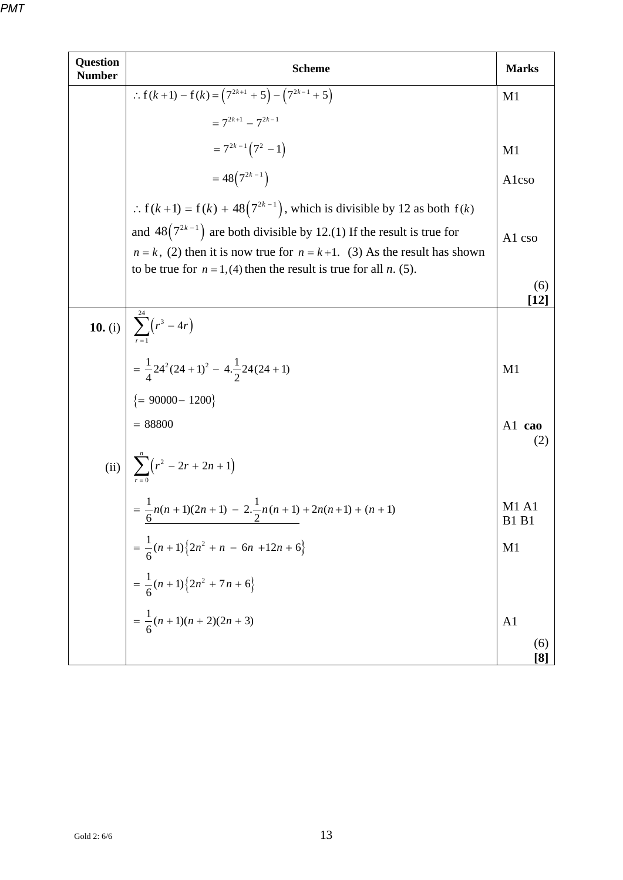| <b>Question</b><br><b>Number</b> | <b>Scheme</b>                                                                                                                                                                                                                              |                              |  |  |  |  |
|----------------------------------|--------------------------------------------------------------------------------------------------------------------------------------------------------------------------------------------------------------------------------------------|------------------------------|--|--|--|--|
|                                  | : $f(k+1) - f(k) = (7^{2k+1} + 5) - (7^{2k-1} + 5)$                                                                                                                                                                                        | M <sub>1</sub>               |  |  |  |  |
|                                  | $= 7^{2k+1} - 7^{2k-1}$                                                                                                                                                                                                                    |                              |  |  |  |  |
|                                  | $=7^{2k-1}(7^2-1)$                                                                                                                                                                                                                         | M1                           |  |  |  |  |
|                                  | $=48(7^{2k-1})$                                                                                                                                                                                                                            | Alcso                        |  |  |  |  |
|                                  | : $f(k+1) = f(k) + 48(7^{2k-1})$ , which is divisible by 12 as both $f(k)$                                                                                                                                                                 |                              |  |  |  |  |
|                                  | and $48(7^{2k-1})$ are both divisible by 12.(1) If the result is true for<br>$n = k$ , (2) then it is now true for $n = k+1$ . (3) As the result has shown<br>to be true for $n = 1$ , (4) then the result is true for all <i>n</i> . (5). | A1 cso                       |  |  |  |  |
|                                  |                                                                                                                                                                                                                                            | (6)<br>[12]                  |  |  |  |  |
|                                  |                                                                                                                                                                                                                                            |                              |  |  |  |  |
|                                  | <b>10.</b> (i) $\begin{cases} \sum_{r=1}^{24} (r^3 - 4r) \\ = \frac{1}{4} 24^2 (24 + 1)^2 - 4 \cdot \frac{1}{2} 24 (24 + 1) \\ = 90000 - 1200 \} \\ = 88800 \end{cases}$                                                                   | M1                           |  |  |  |  |
|                                  |                                                                                                                                                                                                                                            |                              |  |  |  |  |
|                                  |                                                                                                                                                                                                                                            | A1 cao                       |  |  |  |  |
|                                  |                                                                                                                                                                                                                                            |                              |  |  |  |  |
|                                  | (ii) $\sum_{r=0}^{n} (r^2 - 2r + 2n + 1)$<br>= $\frac{1}{6}n(n+1)(2n+1) - 2 \cdot \frac{1}{2}n(n+1) + 2n(n+1) + (n+1)$                                                                                                                     | <b>M1 A1</b><br><b>B1 B1</b> |  |  |  |  |
|                                  |                                                                                                                                                                                                                                            | M1                           |  |  |  |  |
|                                  | = $\frac{1}{6}(n+1)\{2n^2 + n - 6n + 12n + 6\}$<br>= $\frac{1}{6}(n+1)\{2n^2 + 7n + 6\}$<br>= $\frac{1}{6}(n+1)(n+2)(2n+3)$                                                                                                                |                              |  |  |  |  |
|                                  |                                                                                                                                                                                                                                            | A <sub>1</sub>               |  |  |  |  |
|                                  |                                                                                                                                                                                                                                            | (6)<br>[8]                   |  |  |  |  |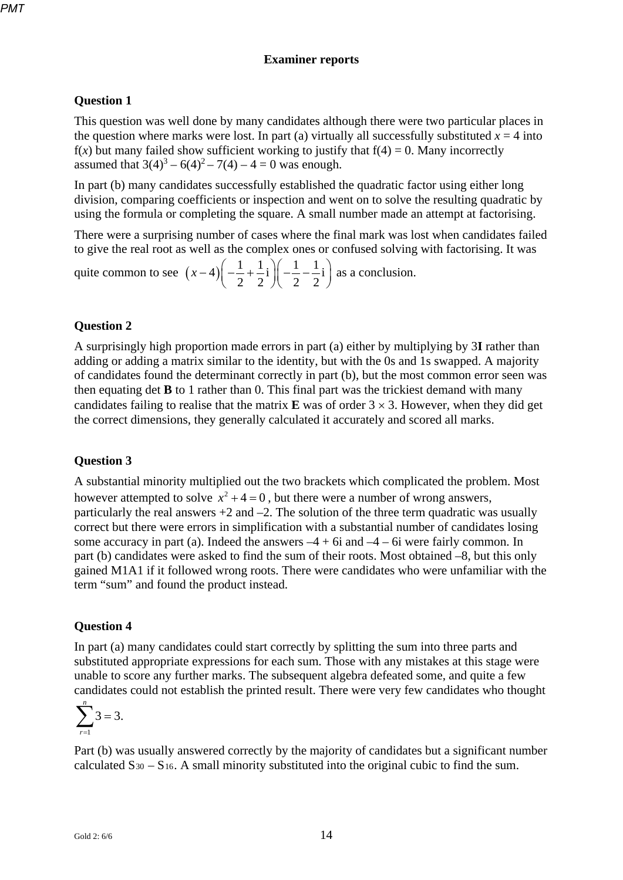#### **Examiner reports**

#### **Question 1**

This question was well done by many candidates although there were two particular places in the question where marks were lost. In part (a) virtually all successfully substituted  $x = 4$  into  $f(x)$  but many failed show sufficient working to justify that  $f(4) = 0$ . Many incorrectly assumed that  $3(4)^3 - 6(4)^2 - 7(4) - 4 = 0$  was enough.

In part (b) many candidates successfully established the quadratic factor using either long division, comparing coefficients or inspection and went on to solve the resulting quadratic by using the formula or completing the square. A small number made an attempt at factorising.

There were a surprising number of cases where the final mark was lost when candidates failed to give the real root as well as the complex ones or confused solving with factorising. It was

quite common to see  $(x-4) \left( -\frac{1}{2} + \frac{1}{2}i \right) \left( -\frac{1}{2} - \frac{1}{2}i \right)$  $2 \t2 \t3 \t2 \t2$  $(x-4)\left(-\frac{1}{2}+\frac{1}{2}i\right)\left(-\frac{1}{2}-\frac{1}{2}i\right)$  as a conclusion.

#### **Question 2**

A surprisingly high proportion made errors in part (a) either by multiplying by 3**I** rather than adding or adding a matrix similar to the identity, but with the 0s and 1s swapped. A majority of candidates found the determinant correctly in part (b), but the most common error seen was then equating det **B** to 1 rather than 0. This final part was the trickiest demand with many candidates failing to realise that the matrix  $\bf{E}$  was of order  $3 \times 3$ . However, when they did get the correct dimensions, they generally calculated it accurately and scored all marks.

#### **Question 3**

A substantial minority multiplied out the two brackets which complicated the problem. Most however attempted to solve  $x^2 + 4 = 0$ , but there were a number of wrong answers, particularly the real answers  $+2$  and  $-2$ . The solution of the three term quadratic was usually correct but there were errors in simplification with a substantial number of candidates losing some accuracy in part (a). Indeed the answers  $-4 + 6i$  and  $-4 - 6i$  were fairly common. In part (b) candidates were asked to find the sum of their roots. Most obtained –8, but this only gained M1A1 if it followed wrong roots. There were candidates who were unfamiliar with the term "sum" and found the product instead.

#### **Question 4**

In part (a) many candidates could start correctly by splitting the sum into three parts and substituted appropriate expressions for each sum. Those with any mistakes at this stage were unable to score any further marks. The subsequent algebra defeated some, and quite a few candidates could not establish the printed result. There were very few candidates who thought

$$
\sum_{r=1}^n 3=3.
$$

Part (b) was usually answered correctly by the majority of candidates but a significant number calculated  $S_{30} - S_{16}$ . A small minority substituted into the original cubic to find the sum.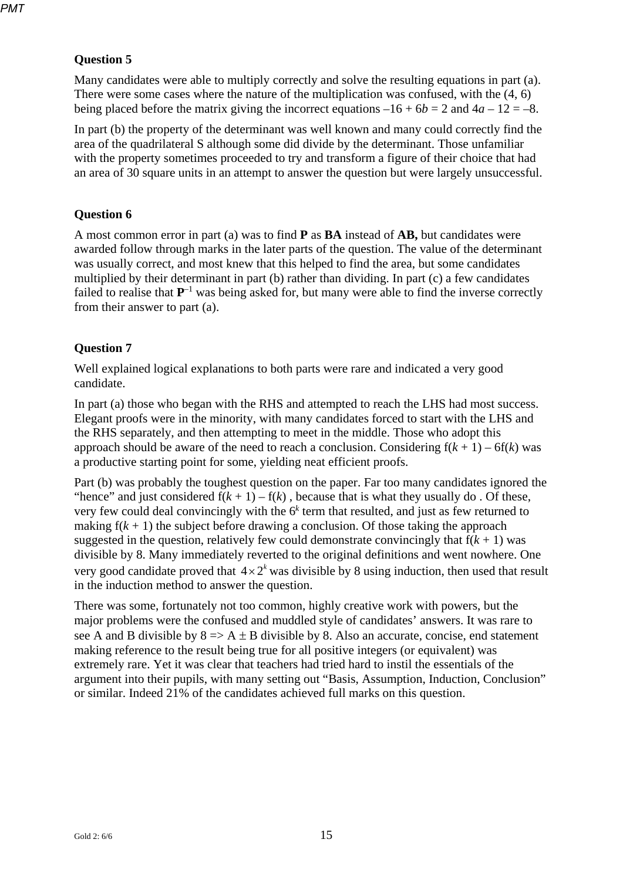#### **Question 5**

Many candidates were able to multiply correctly and solve the resulting equations in part (a). There were some cases where the nature of the multiplication was confused, with the (4, 6) being placed before the matrix giving the incorrect equations  $-16 + 6b = 2$  and  $4a - 12 = -8$ .

In part (b) the property of the determinant was well known and many could correctly find the area of the quadrilateral S although some did divide by the determinant. Those unfamiliar with the property sometimes proceeded to try and transform a figure of their choice that had an area of 30 square units in an attempt to answer the question but were largely unsuccessful.

#### **Question 6**

A most common error in part (a) was to find **P** as **BA** instead of **AB,** but candidates were awarded follow through marks in the later parts of the question. The value of the determinant was usually correct, and most knew that this helped to find the area, but some candidates multiplied by their determinant in part (b) rather than dividing. In part (c) a few candidates failed to realise that  $P^{-1}$  was being asked for, but many were able to find the inverse correctly from their answer to part (a).

#### **Question 7**

Well explained logical explanations to both parts were rare and indicated a very good candidate.

In part (a) those who began with the RHS and attempted to reach the LHS had most success. Elegant proofs were in the minority, with many candidates forced to start with the LHS and the RHS separately, and then attempting to meet in the middle. Those who adopt this approach should be aware of the need to reach a conclusion. Considering  $f(k + 1) - 6f(k)$  was a productive starting point for some, yielding neat efficient proofs.

Part (b) was probably the toughest question on the paper. Far too many candidates ignored the "hence" and just considered  $f(k + 1) - f(k)$ , because that is what they usually do. Of these, very few could deal convincingly with the 6*<sup>k</sup>* term that resulted, and just as few returned to making  $f(k + 1)$  the subject before drawing a conclusion. Of those taking the approach suggested in the question, relatively few could demonstrate convincingly that  $f(k + 1)$  was divisible by 8. Many immediately reverted to the original definitions and went nowhere. One very good candidate proved that  $4 \times 2^k$  was divisible by 8 using induction, then used that result in the induction method to answer the question.

There was some, fortunately not too common, highly creative work with powers, but the major problems were the confused and muddled style of candidates' answers. It was rare to see A and B divisible by  $8 \Rightarrow A \pm B$  divisible by 8. Also an accurate, concise, end statement making reference to the result being true for all positive integers (or equivalent) was extremely rare. Yet it was clear that teachers had tried hard to instil the essentials of the argument into their pupils, with many setting out "Basis, Assumption, Induction, Conclusion" or similar. Indeed 21% of the candidates achieved full marks on this question.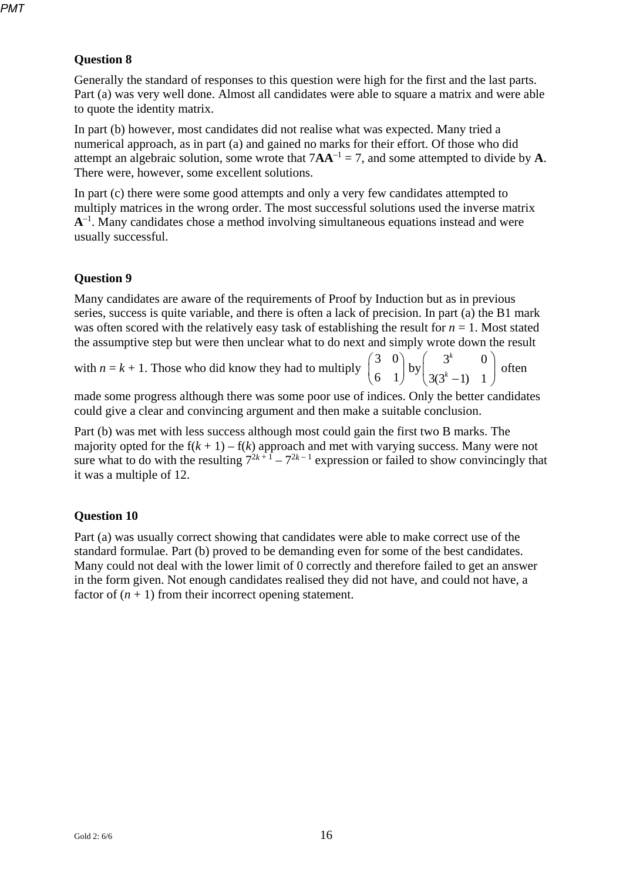#### **Question 8**

Generally the standard of responses to this question were high for the first and the last parts. Part (a) was very well done. Almost all candidates were able to square a matrix and were able to quote the identity matrix.

In part (b) however, most candidates did not realise what was expected. Many tried a numerical approach, as in part (a) and gained no marks for their effort. Of those who did attempt an algebraic solution, some wrote that  $7AA^{-1} = 7$ , and some attempted to divide by A. There were, however, some excellent solutions.

In part (c) there were some good attempts and only a very few candidates attempted to multiply matrices in the wrong order. The most successful solutions used the inverse matrix **A**–1. Many candidates chose a method involving simultaneous equations instead and were usually successful.

#### **Question 9**

Many candidates are aware of the requirements of Proof by Induction but as in previous series, success is quite variable, and there is often a lack of precision. In part (a) the B1 mark was often scored with the relatively easy task of establishing the result for  $n = 1$ . Most stated the assumptive step but were then unclear what to do next and simply wrote down the result

with  $n = k + 1$ . Those who did know they had to multiply  $\begin{pmatrix} 3 & 0 \\ 6 & 1 \end{pmatrix}$  by  $\begin{pmatrix} 3^k & 0 \\ 3(3^k-1) & 1 \end{pmatrix}$ *k*  $\begin{pmatrix} 3 & 0 \\ 6 & 1 \end{pmatrix}$  by  $\begin{pmatrix} 3^k & 0 \\ 3(3^k-1) & 1 \end{pmatrix}$  often

made some progress although there was some poor use of indices. Only the better candidates could give a clear and convincing argument and then make a suitable conclusion.

Part (b) was met with less success although most could gain the first two B marks. The majority opted for the  $f(k + 1) - f(k)$  approach and met with varying success. Many were not sure what to do with the resulting  $7^{2k+1} - 7^{2k-1}$  expression or failed to show convincingly that it was a multiple of 12.

#### **Question 10**

Part (a) was usually correct showing that candidates were able to make correct use of the standard formulae. Part (b) proved to be demanding even for some of the best candidates. Many could not deal with the lower limit of 0 correctly and therefore failed to get an answer in the form given. Not enough candidates realised they did not have, and could not have, a factor of  $(n + 1)$  from their incorrect opening statement.